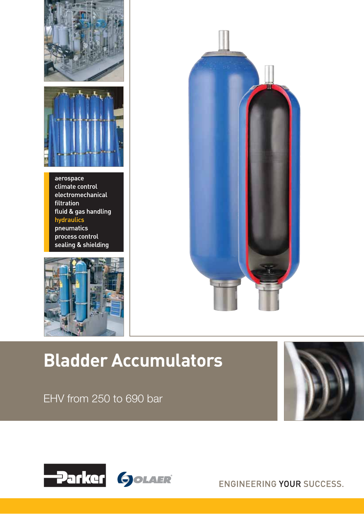



aerospace climate control electromechanical filtration fluid & gas handling hydraulics pneumatics process control sealing & shielding





# **Bladder Accumulators**





ENGINEERING YOUR SUCCESS.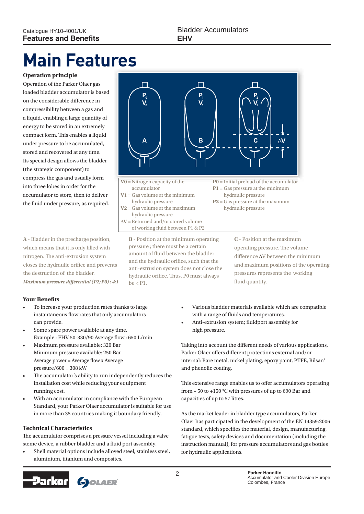# **Main Features**

### **Operation principle**

Operation of the Parker Olaer gas loaded bladder accumulator is based on the considerable difference in compressibility between a gas and a liquid, enabling a large quantity of energy to be stored in an extremely compact form. This enables a liquid under pressure to be accumulated, stored and recovered at any time. Its special design allows the bladder (the strategic component) to compress the gas and usually form into three lobes in order for the accumulator to store, then to deliver the fluid under pressure, as required.

**A** - Bladder in the precharge position, which means that it is only filled with nitrogen. The anti-extrusion system closes the hydraulic orifice and prevents the destruction of the bladder. *Maximum pressure differential (P2/P0) : 4:1*

# **Your Benefits**

- To increase your production rates thanks to large instantaneous flow rates that only accumulators can provide.
- Some spare power available at any time. Example : EHV 50-330/90 Average flow : 650 L/min
- r Maximum pressure available: 320 Bar Minimum pressure available: 250 Bar Average power = Average flow x Average  $pressure/600 = 308$  kW
- The accumulator's ability to run independently reduces the installation cost while reducing your equipment running cost.
- With an accumulator in compliance with the European Standard, your Parker Olaer accumulator is suitable for use in more than 35 countries making it boundary friendly.

#### **Technical Characteristics**

The accumulator comprises a pressure vessel including a valve steme device, a rubber bladder and a fluid port assembly.

Shell material options include alloyed steel, stainless steel, aluminium, titanium and composites.





**B** - Position at the minimum operating pressure ; there must be a certain amount of fluid between the bladder and the hydraulic orifice, such that the anti-extrusion system does not close the hydraulic orifice. Thus, P0 must always  $he < 1$ 

**C** - Position at the maximum operating pressure. The volume difference  $\Delta V$  between the minimum and maximum positions of the operating pressures represents the working fluid quantity.

- Various bladder materials available which are compatible with a range of fluids and temperatures.
- Anti-extrusion system; fluidport assembly for high pressure.

Taking into account the different needs of various applications, Parker Olaer offers different protections external and/or internal: Bare metal, nickel plating, epoxy paint, PTFE, Rilsan® and phenolic coating.

This extensive range enables us to offer accumulators operating from – 50 to +150 °C with pressures of up to 690 Bar and capacities of up to 57 litres.

As the market leader in bladder type accumulators, Parker Olaer has participated in the development of the EN 14359:2006 standard, which specifies the material, design, manufacturing, fatigue tests, safety devices and documentation (including the instruction manual), for pressure accumulators and gas bottles for hydraulic applications.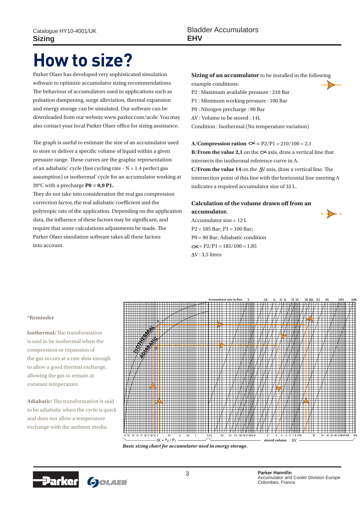# **How to size?**

Parker Olaer has developed very sophisticated simulation software to optimize accumulator sizing recommendations. The behaviour of accumulators used in applications such as pulsation dampening, surge alleviation, thermal expansion and energy storage can be simulated. Our software can be downloaded from our website www.parker.com/acde. You may also contact your local Parker Olaer office for sizing assistance.

The graph is useful to estimate the size of an accumulator used to store or deliver a specific volume of liquid within a given pressure range. These curves are the graphic representation of an adiabatic\* cycle (fast cycling rate - N = 1.4 perfect gas assumption) or isothermal\* cycle for an accumulator working at 20°C with a precharge **P0 = 0,9 P1.**

They do not take into consideration the real gas compression correction factor, the real adiabatic coefficient and the polytropic rate of the application. Depending on the application data, the influence of these factors may be significant, and require that some calculations adjustments be made. The Parker Olaer simulation software takes all these factors into account.

# **Sizing of an accumulator** to be installed in the following

example conditions:

- P2 : Maximum available pressure : 210 Bar P1 : Minimum working pressure : 100 Bar
- P0 : Nitrogen precharge : 90 Bar

V : Volume to be stored : 14L

Condition : Isothermal (No temperature variation)

### **A/Compression ration**  $\infty$  **= P2/P1 = 210/100 = 2,1**

**B/From the value 2,1** on the  $\infty$  axis, draw a vertical line that intersects the isothermal reference curve in A.

**C/From the value 14** on the  $\Delta V$  axis, draw a vertical line. The intersection point of this line with the horizontal line meeting A indicates a required accumulator size of 32 L.

### **Calculation of the volume drawn off from an accumulator.**

Accumulator size = 12 L P2 = 185 Bar; P1 = 100 Bar; P0 = 90 Bar; Adiabatic condition  $\infty$  = P2/P1 = 185/100 = 1,85  $\Delta V$ : 3.5 litres



#### **\*Reminder**

**Isothermal:** The transformation is said to be isothermal when the compression or expansion of the gas occurs at a rate slow enough to allow a good thermal exchange, allowing the gas to remain at constant temperature.

**Adiabatic:** The transformation is said to be adiabatic when the cycle is quick and does not allow a temperature exchange with the ambient media.



*Basic sizing chart for accumulator used in energy storage.*

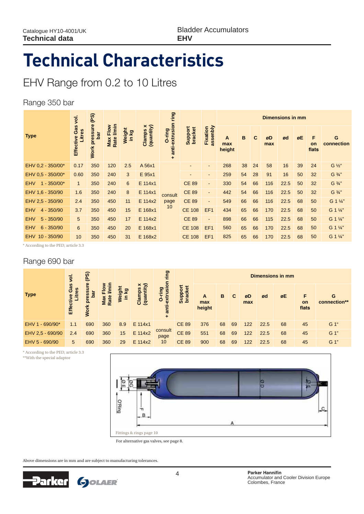# **Technical Characteristics**

# EHV Range from 0.2 to 10 Litres

### Range 350 bar

|                             | ğ.                                | (PS)                 |                                     |                   |                                  |                                    |                          |                          |                    |    |    |           | <b>Dimensions in mm</b> |    |                  |                                 |
|-----------------------------|-----------------------------------|----------------------|-------------------------------------|-------------------|----------------------------------|------------------------------------|--------------------------|--------------------------|--------------------|----|----|-----------|-------------------------|----|------------------|---------------------------------|
| <b>Type</b>                 | <b>Gas</b><br>Litres<br>Effective | Work pressure<br>bar | <b>I/min</b><br>Flow<br>Rate<br>Max | Weight<br>Σă<br>Ξ | (quantity)<br>×<br><b>Clamps</b> | anti-extrusion ring<br>O-ring<br>÷ | Support<br>bracket       | assenbly<br>Fixation     | A<br>max<br>height | B  | С  | øD<br>max | ød                      | øE | F<br>on<br>flats | G<br>connection                 |
| EHV 0.2 - 350/00*           | 0.17                              | 350                  | 120                                 | 2.5               | A 56x1                           |                                    | $\overline{\phantom{a}}$ | $\overline{\phantom{a}}$ | 268                | 38 | 24 | 58        | 16                      | 39 | 24               | $G\frac{1}{2}$                  |
| EHV 0.5 - 350/00*           | 0.60                              | 350                  | 240                                 | 3                 | E 95x1                           |                                    | ٠                        | $\blacksquare$           | 259                | 54 | 28 | 91        | 16                      | 50 | 32               | G 3/4"                          |
| $1 - 350/00*$<br><b>EHV</b> | $\mathbf{1}$                      | 350                  | 240                                 | $6\overline{6}$   | E 114x1                          |                                    | <b>CE 89</b>             | $\overline{\phantom{a}}$ | 330                | 54 | 66 | 116       | 22.5                    | 50 | 32               | G 3/4"                          |
| EHV 1,6 - 350/90            | 1.6                               | 350                  | 240                                 | 8                 | E 114x1                          | consult                            | <b>CE 89</b>             | $\blacksquare$           | 442                | 54 | 66 | 116       | 22.5                    | 50 | 32               | G 3/4"                          |
| EHV 2,5 - 350/90            | 2.4                               | 350                  | 450                                 | 11                | E 114x2                          | page                               | <b>CE 89</b>             | $\blacksquare$           | 549                | 66 | 66 | 116       | 22.5                    | 68 | 50               | G 1 1/4"                        |
| <b>EHV</b><br>$4 - 350/90$  | 3.7                               | 350                  | 450                                 | 15                | E 168x1                          | 10                                 | <b>CE 108</b>            | EF <sub>1</sub>          | 434                | 65 | 66 | 170       | 22.5                    | 68 | 50               | G 1 1/4"                        |
| $5 - 350/90$<br><b>EHV</b>  | 5 <sup>5</sup>                    | 350                  | 450                                 | 17                | E 114x2                          |                                    | <b>CE 89</b>             | $\blacksquare$           | 898                | 66 | 66 | 115       | 22.5                    | 68 | 50               | G 1 1/4"                        |
| <b>EHV</b><br>$6 - 350/90$  | 6                                 | 350                  | 450                                 | 20                | E 168x1                          |                                    | <b>CE 108</b>            | EF <sub>1</sub>          | 560                | 65 | 66 | 170       | 22.5                    | 68 | 50               | G 1 1/4"                        |
| $10 - 350/90$<br><b>EHV</b> | 10                                | 350                  | 450                                 | 31                | E 168x2                          |                                    | <b>CE 108</b>            | EF <sub>1</sub>          | 825                | 65 | 66 | 170       | 22.5                    | 68 | 50               | G 1 <sup>1</sup> / <sub>4</sub> |

\* According to the PED, article 3.3

# Range 690 bar

|                  | yol.                              | (PS)                                |                    |     |                                      | ring                             |                              |                    |    |    |           |      | <b>Dimensions in mm</b> |                         |                   |
|------------------|-----------------------------------|-------------------------------------|--------------------|-----|--------------------------------------|----------------------------------|------------------------------|--------------------|----|----|-----------|------|-------------------------|-------------------------|-------------------|
| <b>Type</b>      | Gas<br>res<br>ς<br><b>Effecti</b> | ure<br>ess<br>ā<br>ᅌ<br><b>Work</b> | ate<br>Max<br>Rate | a ē | $\tilde{z} \geq$<br>Clamps<br>(quant | ā<br>ဥ<br>extr<br>Ó<br>anti<br>÷ | ë<br><b>Suppol</b><br>bracke | A<br>max<br>height | B  |    | øD<br>max | ød   | øE                      | F<br><b>on</b><br>flats | G<br>connection** |
| EHV 1 - 690/90*  | 1.1                               | 690                                 | 360                | 8.9 | E 114x1                              |                                  | <b>CE 89</b>                 | 376                | 68 | 69 | 122       | 22.5 | 68                      | 45                      | G 1"              |
| EHV 2,5 - 690/90 | 2.4                               | 690                                 | 360                | 15  | E 114x2                              | consult<br>page                  | <b>CE 89</b>                 | 551                | 68 | 69 | 122       | 22.5 | 68                      | 45                      | G 1"              |
| EHV 5 - 690/90   | 5                                 | 690                                 | 360                | 29  | E 114x2                              | 10                               | <b>CE 89</b>                 | 900                | 68 | 69 | 122       | 22.5 | 68                      | 45                      | G 1"              |

\* According to the PED, article 3.3 \*\*With the special adaptor



For alternative gas valves, see page 8.

Above dimensions are in mm and are subject to manufacturing tolerances.

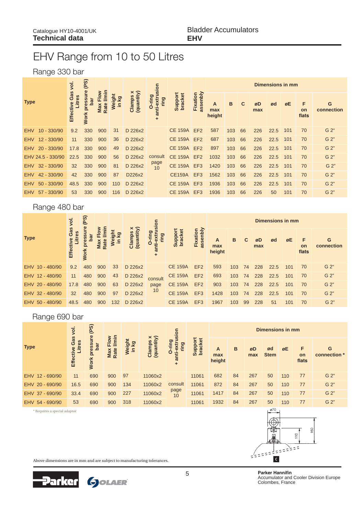# EHV Range from 10 to 50 Litres

# Range 330 bar

|                             | yol.                       | (PS)                                  |             |               |                                  |                                                                |                    |                      |                    |     |    |           | <b>Dimensions in mm</b> |     |                         |                  |
|-----------------------------|----------------------------|---------------------------------------|-------------|---------------|----------------------------------|----------------------------------------------------------------|--------------------|----------------------|--------------------|-----|----|-----------|-------------------------|-----|-------------------------|------------------|
| <b>Type</b>                 | Gas<br>Litres<br>Effective | pressure<br><u>ចិល</u><br><b>Work</b> | Rate<br>Max | ā<br><b>S</b> | Clamps x<br>(quantity)<br>Clamps | nnti-extrusion<br>ring<br>O-ring<br>$\boldsymbol{\sigma}$<br>٠ | Support<br>bracket | assenbly<br>Fixation | A<br>max<br>height | B   | С  | øD<br>max | ød                      | øE  | F<br><b>on</b><br>flats | G<br>connection  |
| $10 - 330/90$<br><b>EHV</b> | 9.2                        | 330                                   | 900         | 31            | D 226x2                          |                                                                | <b>CE 159A</b>     | EF <sub>2</sub>      | 587                | 103 | 66 | 226       | 22.5                    | 101 | 70                      | G 2 <sup>u</sup> |
| <b>EHV</b><br>$12 - 330/90$ | 11                         | 330                                   | 900         | 36            | D 226x2                          |                                                                | <b>CE 159A</b>     | EF <sub>2</sub>      | 687                | 103 | 66 | 226       | 22.5                    | 101 | 70                      | G 2"             |
| $20 - 330/90$<br><b>EHV</b> | 17.8                       | 330                                   | 900         | 49            | D 226x2                          |                                                                | <b>CE 159A</b>     | EF <sub>2</sub>      | 897                | 103 | 66 | 226       | 22.5                    | 101 | 70                      | G 2"             |
| EHV 24.5 - 330/90           | 22.5                       | 330                                   | 900         | 56            | D 226x2                          | consult                                                        | <b>CE 159A EF2</b> |                      | 1032               | 103 | 66 | 226       | 22.5                    | 101 | 70                      | G 2"             |
| EHV 32 - 330/90             | 32                         | 330                                   | 900         | 81            | D 226x2                          | page<br>10                                                     | <b>CE 159A</b>     | EF <sub>3</sub>      | 1420               | 103 | 66 | 226       | 22.5                    | 101 | 70                      | G 2"             |
| 42 - 330/90<br><b>EHV</b>   | 42                         | 330                                   | 900         | 87            | D226x2                           |                                                                | <b>CE159A</b>      | EF <sub>3</sub>      | 1562               | 103 | 66 | 226       | 22.5                    | 101 | 70                      | G 2"             |
| $50 - 330/90$<br><b>EHV</b> | 48.5                       | 330                                   | 900         | 110           | D 226x2                          |                                                                | <b>CE 159A</b>     | EF <sub>3</sub>      | 1936               | 103 | 66 | 226       | 22.5                    | 101 | 70                      | G 2"             |
| 57 - 330/90<br><b>EHV</b>   | 53                         | 330                                   | 900         | 116           | D 226x2                          |                                                                | <b>CE 159A</b>     | EF3                  | 1936               | 103 | 66 | 226       | 50                      | 101 | 70                      | G 2"             |

### Range 480 bar

|                 | <u>ie</u>                  | (PS)              |                               |     |                  | lon                                                                |                           |                           |                    |     |    |           | <b>Dimensions in mm</b> |     |                         |                 |
|-----------------|----------------------------|-------------------|-------------------------------|-----|------------------|--------------------------------------------------------------------|---------------------------|---------------------------|--------------------|-----|----|-----------|-------------------------|-----|-------------------------|-----------------|
| <b>Type</b>     | Gas<br>es<br><b>Effect</b> | စ္<br><b>Work</b> | $\tilde{a}$<br>Мa<br>$\alpha$ |     | (qua<br><u>چ</u> | $\overline{a}$<br><b>Puil</b> -<br>Ó<br>$\boldsymbol{\sigma}$<br>٠ | ğdn<br><b>brack</b><br>ဖာ | Fixatio<br><b>Se</b><br>æ | A<br>max<br>height | B   |    | øD<br>max | ød                      | øE  | F<br><b>on</b><br>flats | G<br>connection |
| EHV 10 - 480/90 | 9.2                        | 480               | 900                           | 33  | D 226x2          |                                                                    | <b>CE 159A</b>            | EF <sub>2</sub>           | 593                | 103 | 74 | 228       | 22.5                    | 101 | 70                      | G 2"            |
| EHV 12 - 480/90 | 11                         | 480               | 900                           | 43  | D 226x2          | consult                                                            | <b>CE 159A</b>            | EF <sub>2</sub>           | 693                | 103 | 74 | 228       | 22.5                    | 101 | 70                      | G 2"            |
| EHV 20 - 480/90 | 17.8                       | 480               | 900                           | 63  | D 226x2          | page                                                               | <b>CE 159A</b>            | EF <sub>2</sub>           | 903                | 103 | 74 | 228       | 22.5                    | 101 | 70                      | G 2"            |
| EHV 32 - 480/90 | 32                         | 480               | 900                           | 97  | D 226x2          | 10                                                                 | <b>CE 159A</b>            | EF <sub>3</sub>           | 1428               | 103 | 74 | 228       | 22.5                    | 101 | 70                      | G 2"            |
| EHV 50 - 480/90 | 48.5                       | 480               | 900                           | 132 | D 226x2          |                                                                    | <b>CE 159A</b>            | EF <sub>3</sub>           | 1967               | 103 | 99 | 228       | 51                      | 101 | 70                      | G <sub>2</sub>  |

# Range 690 bar

\* Requires a special adaptor

|                 | yol.                              | (PS)                                |                                          |                 |                                         | sion                     |                    |                    |    |           | Dimensions in mm  |     |                  |                   |
|-----------------|-----------------------------------|-------------------------------------|------------------------------------------|-----------------|-----------------------------------------|--------------------------|--------------------|--------------------|----|-----------|-------------------|-----|------------------|-------------------|
| <b>Type</b>     | Gas<br>.itres<br><b>Effective</b> | ure<br>pressi<br>bar<br><b>Work</b> | <b>I/min</b><br>3.<br>Elo<br>Max<br>Rate | Weight<br>in kg | Clamps x<br>(quantity)<br><b>Clamps</b> | ರಾ<br>ρū<br>O<br>an<br>٠ | Support<br>bracket | A<br>max<br>height | B  | øD<br>max | ød<br><b>Stem</b> | øE  | F<br>on<br>flats | G<br>connection * |
| EHV 12 - 690/90 | 11                                | 690                                 | 900                                      | 97              | 11060x2                                 |                          | 11061              | 682                | 84 | 267       | 50                | 110 | 77               | G 2"              |
| EHV 20 - 690/90 | 16.5                              | 690                                 | 900                                      | 134             | 11060x2                                 | consult                  | 11061              | 872                | 84 | 267       | 50                | 110 | 77               | G 2"              |
| EHV 37 - 690/90 | 33.4                              | 690                                 | 900                                      | 227             | 11060x2                                 | page<br>10               | 11061              | 1417               | 84 | 267       | 50                | 110 | 77               | G 2"              |
| EHV 54 - 690/90 | 53                                | 690                                 | 900                                      | 318             | 11060x2                                 |                          | 11061              | 1932               | 84 | 267       | 50                | 110 | 77               | G 2"              |

 $\overline{\omega}$ 70 160  $\frac{1}{2}$  $\frac{1}{2}$   $\frac{1}{2}$   $\frac{1}{2}$   $\frac{1}{2}$   $\frac{1}{2}$   $\frac{1}{2}$   $\frac{1}{2}$   $\frac{1}{2}$   $\frac{1}{2}$   $\frac{1}{2}$ 

Above dimensions are in mm and are subject to manufacturing tolerances.



**5 3DUNHUH+DQ Parker Hannifin** Accumulator and Cooler Division Europe Colombes, France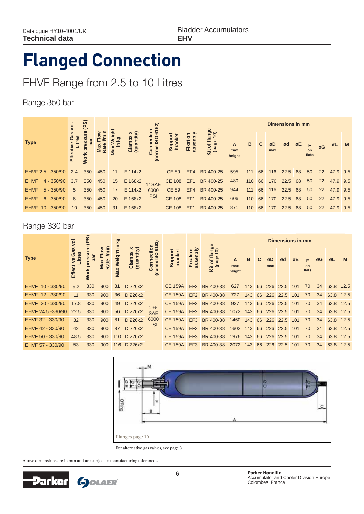Bladder Accumulators **EHV**

# **Flanged Connection**

# EHVF Range from 2.5 to 10 Litres

Range 350 bar

|                             | <u>ğ</u>                    | (PS)                   |     |                      |                      | 62)                   |                         |                   |                          |                    |     |    |           | Dimensions in mm |    |                  |                   |          |          |
|-----------------------------|-----------------------------|------------------------|-----|----------------------|----------------------|-----------------------|-------------------------|-------------------|--------------------------|--------------------|-----|----|-----------|------------------|----|------------------|-------------------|----------|----------|
| <b>Type</b>                 | Gas<br>8g<br><b>Effecti</b> | Цe<br>≏<br><b>Work</b> | g   | $\mathbf{\tilde{a}}$ | (quantity)<br>Clamps | $\epsilon$<br>$\circ$ | bracke<br><b>Ioddns</b> | Fixatio<br>assenl | lange<br>age<br>ð<br>호 a | A<br>max<br>height | B   |    | øD<br>max | ød               | øE | F<br>on<br>flats | øG                | ØL       | <b>M</b> |
| EHVF 2,5 - 350/90           | 2.4                         | 350                    | 450 | 11                   | E 114x2              |                       | <b>CE 89</b>            | EF4               | BR 400-25                | 595                | 111 | 66 | 116       | 22.5             | 68 | 50               | 22                | 47.9 9.5 |          |
| <b>EHVF</b><br>$4 - 350/90$ | 3.7                         | 350                    | 450 | 15                   | E 168x2              | 1" SAE                | CE 108 EF1              |                   | BR 400-25                | 480                | 110 | 66 | 170       | 22.5             | 68 | 50               | 22                | 47.9 9.5 |          |
| <b>EHVF</b><br>$5 - 350/90$ | 5                           | 350                    | 450 | 17                   | E 114x2              | 6000                  | <b>CE 89</b>            |                   | EF4 BR 400-25            | 944                | 111 | 66 | 116       | 22.5             | 68 | 50               | $22 \overline{ }$ | 47.9 9.5 |          |
| <b>EHVF</b><br>$6 - 350/90$ | 6                           | 350                    | 450 | 20                   | E 168x2              | <b>PSI</b>            | <b>CE 108</b>           | EF <sub>1</sub>   | BR 400-25                | 606                | 110 | 66 | 170       | 22.5             | 68 | 50               | 22                | 47.9 9.5 |          |
| EHVF 10 - 350/90            | 10                          | 350                    | 450 | 31                   | E 168x2              |                       | CE 108                  | EF1               | BR 400-25                | 871                | 110 | 66 | 170       | 22.5             | 68 | 50               | 22                | 47.9     | 9.5      |

### Range 330 bar

|                   | <u>ğ</u>                | (PS)        |             | <u>ତୁ</u>   |                           | 6162)                                         |                    |                     |                              |                          |        |    |     | Dimensions in mm    |     |                    |    |           |      |
|-------------------|-------------------------|-------------|-------------|-------------|---------------------------|-----------------------------------------------|--------------------|---------------------|------------------------------|--------------------------|--------|----|-----|---------------------|-----|--------------------|----|-----------|------|
| <b>Type</b>       | Gas<br>Sə.<br>Effective | <b>Work</b> | Rate<br>Max | Weig<br>Max | (quantity)<br>×<br>Clamps | $\circ$<br>$\overline{\omega}$<br>(norme<br>δ | Support<br>bracket | assenbl<br>Fixation | nge<br>0)<br>(page<br>đ<br>š | A<br>max<br>height       | в      |    | max | Ød                  | øΕ  | <b>on</b><br>flats | øG | øL        | M    |
| EHVF 10 - 330/90  | 9.2                     | 330         | 900         | 31          | D 226x2                   |                                               | <b>CE 159A</b>     | EF <sub>2</sub>     | BR 400-38                    | 627                      | 143    | 66 |     | 226 22.5 101        |     | 70                 | 34 | 63.8 12.5 |      |
| EHVF 12 - 330/90  | 11                      | 330         | 900         | 36          | D 226x2                   |                                               | <b>CE 159A</b>     |                     | EF2 BR 400-38                | 727                      |        |    |     | 143 66 226 22.5 101 |     | 70                 | 34 | 63.8 12.5 |      |
| EHVF 20 - 330/90  | 17.8                    | 330         | 900         | 49          | D 226x2                   | $1\frac{1}{2}$                                | <b>CE 159A</b>     | EF <sub>2</sub>     | BR 400-38                    | 937                      | 143    | 66 |     | 226 22.5 101        |     | 70                 | 34 | 63.8 12.5 |      |
| EHVF 24.5 -330/90 | 22.5                    | 330         | 900         | 56          | D 226x2                   | <b>SAE</b>                                    | <b>CE 159A</b>     | EF <sub>2</sub>     | BR 400-38                    | 1072 143 66              |        |    |     | 226 22.5 101        |     | 70                 | 34 | 63.8 12.5 |      |
| EHVF 32 - 330/90  | 32                      | 330         | 900         | 81          | D 226x2                   | 6000                                          | <b>CE 159A</b>     | EF3                 | BR 400-38                    | 1460 143 66              |        |    |     | 226 22.5 101        |     | 70                 | 34 | 63.8 12.5 |      |
| EHVF 42 - 330/90  | 42                      | 330         | 900         | 87          | D 226x2                   | <b>PSI</b>                                    | <b>CE 159A</b>     |                     | EF3 BR 400-38                | 1602 143 66 226 22.5 101 |        |    |     |                     |     | 70                 | 34 | 63.8 12.5 |      |
| EHVF 50 - 330/90  | 48.5                    | 330         | 900         |             | 110 D 226x2               |                                               | <b>CE 159A</b>     | EF3                 | BR 400-38                    | 1976                     | 143 66 |    |     | 226 22.5 101        |     | 70                 | 34 | 63.8 12.5 |      |
| EHVF 57 - 330/90  | 53                      | 330         | 900         |             | 116 D 226x2               |                                               | <b>CE 159A</b>     | EF <sub>3</sub>     | BR 400-38                    | 2072                     | 143 66 |    | 226 | 22.5                | 101 | 70                 | 34 | 63.8      | 12.5 |



For alternative gas valves, see page 8.

Above dimensions are in mm and are subject to manufacturing tolerances.

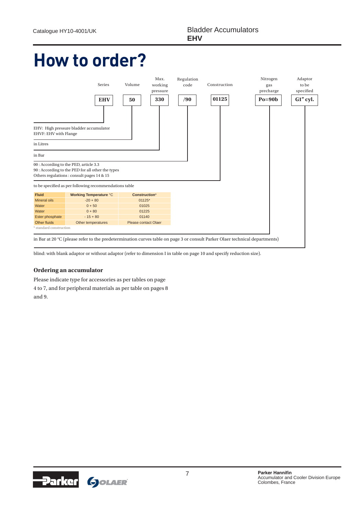# **How to order?**



blind: with blank adaptor or without adaptor (refer to dimension I in table on page 10 and specify reduction size).

#### **Ordering an accumulator**

Please indicate type for accessories as per tables on page 4 to 7, and for peripheral materials as per table on pages 8 and 9.

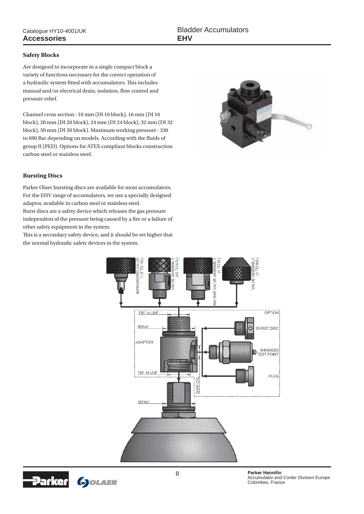#### **Safety Blocks**

Are designed to incorporate in a single compact block a variety of functions necessary for the correct operation of a hydraulic system fitted with accumulators. This includes manual and/or electrical drain, isolation, flow control and pressure relief.

Channel cross section : 10 mm (DI 10 block), 16 mm (DI 16 block), 20 mm (DI 20 block), 24 mm (DI 24 block), 32 mm (DI 32 block), 50 mm (DI 50 block). Maximum working pressure : 330 to 690 Bar depending on models. According with the fluids of group II (PED). Options for ATEX compliant blocks construction carbon steel or stainless steel.



### **Bursting Discs**

Parker Olaer bursting discs are available for most accumulators. For the EHV range of accumulators, we use a specially designed adaptor, available in carbon steel or stainless steel. Burst discs are a safety device which releases the gas pressure independent of the pressure being caused by a fire or a failure of other safety equipment in the system.

This is a secondary safety device, and it should be set higher that the normal hydraulic safety devices in the system.



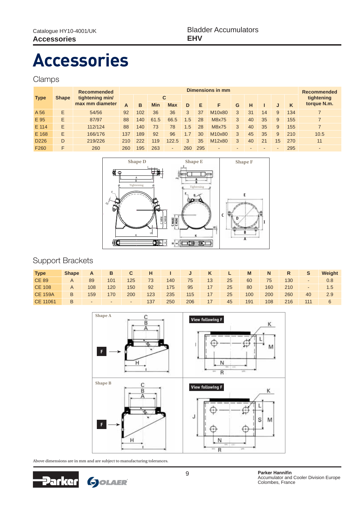# **Accessories**

## Clamps

|                  |              | <b>Recommended</b> |     |     |            |            |     |     | Dimensions in mm |   |    |    |    |     | Recommended              |
|------------------|--------------|--------------------|-----|-----|------------|------------|-----|-----|------------------|---|----|----|----|-----|--------------------------|
| <b>Type</b>      | <b>Shape</b> | tightening min/    |     |     |            | C          |     |     |                  |   |    |    |    |     | tightening               |
|                  |              | max mm diameter    | Α   | B   | <b>Min</b> | <b>Max</b> | D   | Е   |                  | G | н  |    |    | K   | torque N.m.              |
| A 56             | F            | 54/56              | 92  | 102 | 36         | 36         | 3   | 37  | M10x80           | 3 | 31 | 14 | 9  | 134 |                          |
| E 95             | F            | 87/97              | 88  | 140 | 61.5       | 66.5       | 1.5 | 28  | M8x75            | 3 | 40 | 35 | 9  | 155 | 7                        |
| E 114            | E            | 112/124            | 88  | 140 | 73         | 78         | 1.5 | 28  | M8x75            | 3 | 40 | 35 | 9  | 155 |                          |
| E 168            | E            | 166/176            | 137 | 189 | 92         | 96         | 1.7 | 30  | M10x80           | 3 | 45 | 35 | 9  | 210 | 10.5                     |
| D <sub>226</sub> | D            | 219/226            | 210 | 222 | 119        | 122.5      | 3   | 35  | M12x80           | 3 | 40 | 21 | 15 | 270 | 11                       |
| F <sub>260</sub> | F            | 260                | 260 | 195 | 263        | ٠          | 260 | 295 | -                |   |    | -  | ۰  | 295 | $\overline{\phantom{a}}$ |



# Support Brackets

| <b>Type</b>    | <b>Shape</b> | A      | B      | C.     | н   |     | J   | K               | L. | M   | N   | R   | S.  | Weight        |
|----------------|--------------|--------|--------|--------|-----|-----|-----|-----------------|----|-----|-----|-----|-----|---------------|
| <b>CE 89</b>   |              | 89     | 101    | 125    | 73  | 140 | 75  | 13              | 25 | 60  | 75  | 130 | -   | 0.8           |
| CE 108         | A            | 108    | 120    | 150    | 92  | 175 | 95  | 17              | 25 | 80  | 160 | 210 | -   | $1.5^{\circ}$ |
| <b>CE 159A</b> | B            | 159    | 170    | 200    | 123 | 235 | 115 | 17 <sup>°</sup> | 25 | 100 | 200 | 260 | 40  | 2.9           |
| CE 11061       | B            | $\sim$ | $\sim$ | $\sim$ | 137 | 250 | 206 | 17              | 45 | 191 | 108 | 216 | 111 | 6             |



Above dimensions are in mm and are subject to manufacturing tolerances.

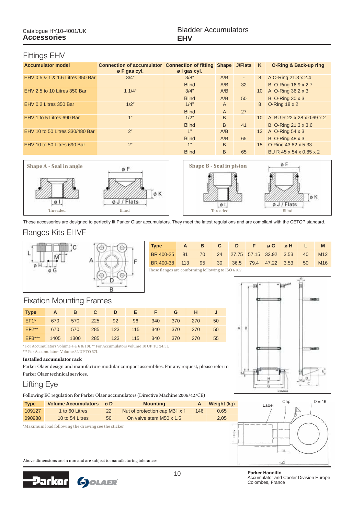### Fittings EHV

| <b>Accumulator model</b>         | <b>Connection of accumulator Connection of fitting Shape J/Flats</b> |              |     |    | <b>K</b>        | <b>O-Ring &amp; Back-up ring</b> |
|----------------------------------|----------------------------------------------------------------------|--------------|-----|----|-----------------|----------------------------------|
|                                  | $\varnothing$ F gas cyl.                                             | ø I gas cyl. |     |    |                 |                                  |
| EHV 0.5 & 1 & 1.6 Litres 350 Bar | 3/4"                                                                 | 3/8"         | A/B | ٠  | 8               | A.O-Ring 21.3 x 2.4              |
|                                  |                                                                      | <b>Blind</b> | A/B | 32 |                 | B. O-Ring 16.9 x 2.7             |
| EHV 2.5 to 10 Litres 350 Bar     | $11/4$ "                                                             | 3/4"         | A/B |    | 10 <sup>°</sup> | A. O-Ring 36.2 x 3               |
|                                  |                                                                      | <b>Blind</b> | A/B | 50 |                 | <b>B. O-Ring 30 x 3</b>          |
| EHV 0.2 Litres 350 Bar           | 1/2"                                                                 | 1/4"         | A   |    | 8               | $O-Rinq 18 \times 2$             |
|                                  |                                                                      | <b>Blind</b> | A   | 27 |                 |                                  |
| EHV 1 to 5 Litres 690 Bar        | 1"                                                                   | 1/2"         | B   |    | 10 <sup>1</sup> | A. BU R 22 x 28 x 0.69 x 2       |
|                                  |                                                                      | <b>Blind</b> | B   | 41 |                 | B. O-Ring 21.3 x 3.6             |
| EHV 10 to 50 Litres 330/480 Bar  | 2"                                                                   | 1"           | A/B |    | 13              | A. O-Ring 54 x 3                 |
|                                  |                                                                      | <b>Blind</b> | A/B | 65 |                 | <b>B. O-Ring 48 x 3</b>          |
| EHV 10 to 50 Litres 690 Bar      | 2"                                                                   | 1"           | B   |    |                 | 15 O-Ring 43.82 x 5.33           |
|                                  |                                                                      | <b>Blind</b> | B   | 65 |                 | BU R 45 x 54 x 0.85 x 2          |



These accessories are designed to perfectly fit Parker Olaer accumulators. They meet the latest regulations and are compliant with the CETOP standard.

### Flanges Kits EHVF



| <b>Type</b>                                         | $- A$ |  |  | B C D F ØG ØH L I |  | M               |
|-----------------------------------------------------|-------|--|--|-------------------|--|-----------------|
| BR 400-25 81 70 24 27.75 57.15 32.92 3.53 40        |       |  |  |                   |  | M <sub>12</sub> |
| BR 400-38 113 95 30 36.5 79.4 47.22 3.53 50         |       |  |  |                   |  | M <sub>16</sub> |
| These flanges are conforming following to ISO 6162. |       |  |  |                   |  |                 |

# Fixation Mounting Frames

| <b>Type</b>  | A    | <b>B</b> | $\mathbf{C}$ | D     |     | EFFI | G           | H   |    |
|--------------|------|----------|--------------|-------|-----|------|-------------|-----|----|
| $EF1*$       | 670  | 570      | $-225$       | $-92$ | 96  | 340  | 370         | 270 | 50 |
| <b>EF2**</b> | 670  | 570      | 285          | 123   |     |      | 115 340 370 | 270 | 50 |
| $EF3***$     | 1405 | 1300     | 285          | 123   | 115 | 340  | 370         | 270 | 55 |
|              |      |          |              |       |     |      |             |     |    |

\* For Accumulators Volume 4 & 6 & 10L \*\* For Accumulators Volume 10 UP TO 24.5L \*\*\* For Accumulators Volume 32 UP TO 57L

#### **Installed accumulator rack**

Parker Olaer design and manufacture modular compact assemblies. For any request, please refer to Parker Olaer technical services.

Lifting Eye Following EC regulation for Parker Olaer accumulators (Directive Machine 2006/42/CE)





10 **3DUNHUH+DQ** Parker Hannifin Accumulator and Cooler Division Europe Colombes, France

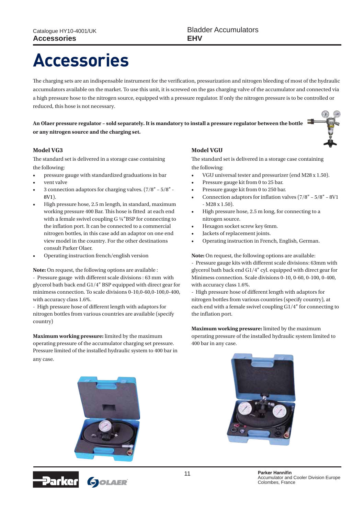# **Accessories**

The charging sets are an indispensable instrument for the verification, pressurization and nitrogen bleeding of most of the hydraulic accumulators available on the market. To use this unit, it is screwed on the gas charging valve of the accumulator and connected via a high pressure hose to the nitrogen source, equipped with a pressure regulator. If only the nitrogen pressure is to be controlled or reduced, this hose is not necessary.

**An Olaer pressure regulator – sold separately. It is mandatory to install a pressure regulator between the bottle or any nitrogen source and the charging set.**



The standard set is delivered in a storage case containing the following:

- pressure gauge with standardized graduations in bar
- vent valve
- 3 connection adaptors for charging valves.  $(7/8" 5/8" -$ 8V1).
- High pressure hose, 2.5 m length, in standard, maximum working pressure 400 Bar. This hose is fitted at each end with a female swivel coupling G ¼''BSP for connecting to the inflation port. It can be connected to a commercial nitrogen bottles, in this case add an adaptor on one end view model in the country. For the other destinations consult Parker Olaer.
- Operating instruction french/english version

**Note:** On request, the following options are available :

- Pressure gauge with different scale divisions : 63 mm with glycerol bath back end G1/4'' BSP equipped with direct gear for minimess connection. To scale divisions 0-10,0-60,0-100,0-400, with accuracy class 1.6%.

- High pressure hose of different length with adaptors for nitrogen bottles from various countries are available (specify country)

**Maximum working pressure:** limited by the maximum operating pressure of the accumulator charging set pressure. Pressure limited of the installed hydraulic system to 400 bar in any case.

### **Model VGU**

The standard set is delivered in a storage case containing the following:

- VGU universal tester and pressurizer (end M28 x 1.50).
- Pressure gauge kit from 0 to 25 bar.
- Pressure gauge kit from 0 to 250 bar.
- Connection adaptors for inflation valves  $(7/8'' 5/8'' 8V1)$ - M28 x 1.50).
- $\cdot$  High pressure hose, 2.5 m long, for connecting to a nitrogen source.
- Hexagon socket screw key 6mm.
- Jackets of replacement joints.
- Operating instruction in French, English, German.

**Note:** On request, the following options are available:

- Pressure gauge kits with different scale divisions: 63mm with glycerol bath back end G1/4'' cyl. equipped with direct gear for Minimess connection. Scale divisions 0-10, 0-60, 0-100, 0-400, with accuracy class 1.6%.

- High pressure hose of different length with adaptors for nitrogen bottles from various countries (specify country), at each end with a female swivel coupling G1/4'' for connecting to the inflation port.

**Maximum working pressure:** limited by the maximum operating pressure of the installed hydraulic system limited to 400 bar in any case.



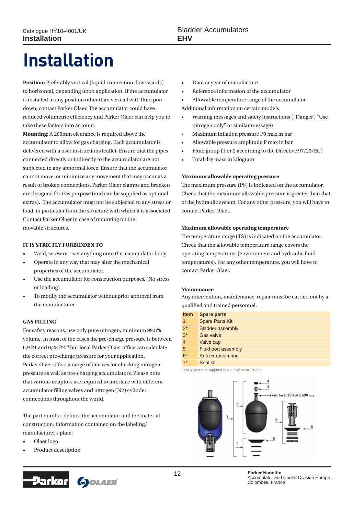# **Installation**

**Position:** Preferably vertical (liquid connection downwards) to horizontal, depending upon application. If the accumulator is installed in any position other than vertical with fluid port down, contact Parker Olaer. The accumulator could have reduced volumetric efficiency and Parker Olaer can help you to take these factors into account.

**Mounting:** A 200mm clearance is required above the accumulator to allow for gas charging. Each accumulator is delivered with a user instructions leaflet. Ensure that the pipes connected directly or indirectly to the accumulator are not subjected to any abnormal force, Ensure that the accumulator cannot move, or minimize any movement that may occur as a result of broken connections. Parker Olaer clamps and brackets are designed for this purpose (and can be supplied as optional extras). The accumulator must not be subjected to any stress or load, in particular from the structure with which it is associated. Contact Parker Olaer in case of mounting on the movable structures.

#### **IT IS STRICTLY FORBIDDEN TO**

- Weld, screw or rivet anything onto the accumulator body.
- Operate in any way that may alter the mechanical properties of the accumulator.
- Use the accumulator for construction purposes. (No stress or loading)
- To modify the accumulator without prior approval from the manufacturer.

#### **GAS FILLING**

For safety reasons, use only pure nitrogen, minimum 99.8% volume. In most of the cases the pre-charge pressure is between 0,9 P1 and 0,25 P2. Your local Parker Olaer office can calculate the correct pre-charge pressure for your application. Parker Olaer offers a range of devices for checking nitrogen pressure as well as pre-charging accumulators. Please note that various adaptors are required to interface with different accumulator filling valves and nitrogen (N2) cylinder connections throughout the world.

The part number defines the accumulator and the material construction. Information contained on the labeling/ manufacturer's plate:

- Olaer logo
- Product description



- Date or year of manufacture
- Reference information of the accumulator
- Allowable temperature range of the accumulator Additional information on certain models:
- Warning messages and safety instructions ("Danger", "Use nitrogen only" or similar message)
- Maximum inflation pressure P0 max in bar
- r Allowable pressure amplitude P max in bar
- Fluid group (1 or 2 according to the Directive 97/23/EC)
- Total dry mass in kilogram

#### **Maximum allowable operating pressure**

The maximum pressure (PS) is indicated on the accumulator. Check that the maximum allowable pressure is greater than that of the hydraulic system. For any other pressure, you will have to contact Parker Olaer.

#### **Maximum allowable operating temperature**

The temperature range (TS) is indicated on the accumulator. Check that the allowable temperature range covers the operating temperatures (environment and hydraulic fluid temperatures). For any other temperature, you will have to contact Parker Olaer.

#### **Maintenance**

Any intervention, maintenance, repair must be carried out by a qualified and trained personnel.

| <b>Spare parts</b>      |
|-------------------------|
| <b>Spare Parts Kit</b>  |
| <b>Bladder assembly</b> |
| <b>Gas valve</b>        |
| Valve cap               |
| Fluid port assembly     |
| Anti extrusion ring     |
| Seal kit                |
|                         |

\* These parts are supplied as a kit with instructions.



12 **3DUNHU+DQQLAQLAQ** Parker Hannifin Accumulator and Cooler Division Europe Colombes, France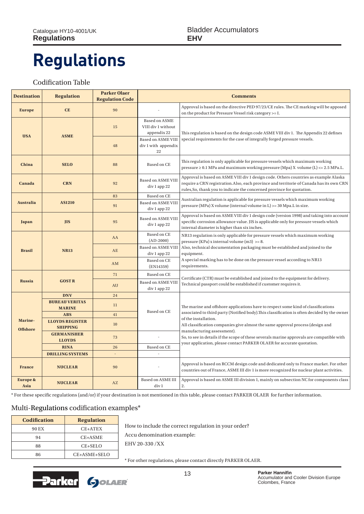# **Regulations**

### Codification Table

| <b>Destination</b>          | <b>Regulation</b>                         | <b>Parker Olaer</b><br><b>Regulation Code</b> | <b>Comments</b>                                                                                                                                 |                                                                                                                                                                                                                                                            |  |  |  |  |
|-----------------------------|-------------------------------------------|-----------------------------------------------|-------------------------------------------------------------------------------------------------------------------------------------------------|------------------------------------------------------------------------------------------------------------------------------------------------------------------------------------------------------------------------------------------------------------|--|--|--|--|
| <b>Europe</b>               | <b>CE</b>                                 | 90                                            | Approval is based on the directive PED 97/23/CE rules. The CE marking will be apposed<br>on the product for Pressure Vessel risk category >= I. |                                                                                                                                                                                                                                                            |  |  |  |  |
| <b>USA</b>                  | <b>ASME</b>                               | 15                                            | Based on ASME<br>VIII div 1 without<br>appendix 22                                                                                              | This regulation is based on the design code ASME VIII div 1. The Appendix 22 defines                                                                                                                                                                       |  |  |  |  |
|                             |                                           | 48                                            | <b>Based on ASME VIII</b><br>div 1 with appendix<br>22                                                                                          | special requirements for the case of integrally forged pressure vessels.                                                                                                                                                                                   |  |  |  |  |
| China                       | <b>SELO</b>                               | 88                                            | Based on CE                                                                                                                                     | This regulation is only applicable for pressure vessels which maximum working<br>pressure $\geq 0.1$ MPa and maximum working pressure (Mpa) X volume (L) $\lt$ = 2.5 MPa.L.                                                                                |  |  |  |  |
| Canada                      | <b>CRN</b>                                | 92                                            | Based on ASME VIII<br>div 1 app 22                                                                                                              | Approval is based on ASME VIII div 1 design code. Others countries as example Alaska<br>require a CRN registration. Also, each province and territorie of Canada has its own CRN<br>rules, So, thank you to indicate the concerned province for quotation. |  |  |  |  |
|                             |                                           | 83                                            | Based on CE                                                                                                                                     | Australian regulation is applicable for pressure vessels which maximum working                                                                                                                                                                             |  |  |  |  |
| <b>Australia</b>            | <b>AS1210</b>                             | 91                                            | <b>Based on ASME VIII</b><br>div 1 app 22                                                                                                       | pressure (MPa) X volume (internal volume in L) >= 30 Mpa.L in size.                                                                                                                                                                                        |  |  |  |  |
| Japan                       | <b>JIS</b>                                | 95                                            | <b>Based on ASME VIII</b><br>div 1 app 22                                                                                                       | Approval is based on ASME VIII div 1 design code (version 1998) and taking into account<br>specific corrosion allowance value. JIS is applicable only for pressure vessels which<br>internal diameter is higher than six inches.                           |  |  |  |  |
| <b>Brasil</b>               | <b>NR13</b>                               | AA                                            | Based on CE<br>$(AD-2000)$                                                                                                                      | NR13 regulation is only applicable for pressure vessels which maximum working<br>pressure (KPa) x internal volume $(m3) >= 8$ .                                                                                                                            |  |  |  |  |
|                             |                                           | AE                                            | <b>Based on ASME VIII</b><br>div 1 app 22                                                                                                       | Also, technical documentation packaging must be established and joined to the<br>equipment.                                                                                                                                                                |  |  |  |  |
|                             |                                           | <b>AM</b>                                     | Based on CE<br>(EN14359)                                                                                                                        | A special marking has to be done on the pressure vessel according to NR13<br>requirements.                                                                                                                                                                 |  |  |  |  |
|                             |                                           | 71                                            | Based on CE                                                                                                                                     |                                                                                                                                                                                                                                                            |  |  |  |  |
| <b>Russia</b>               | <b>GOSTR</b>                              | AU                                            | <b>Based on ASME VIII</b><br>div 1 app 22                                                                                                       | Certificate (CTR) must be established and joined to the equipment for delivery.<br>Technical passport could be established if customer requires it.                                                                                                        |  |  |  |  |
|                             | <b>DNV</b>                                | 24                                            |                                                                                                                                                 |                                                                                                                                                                                                                                                            |  |  |  |  |
|                             | <b>BUREAU VERITAS</b><br><b>MARINE</b>    | 11                                            | Based on CE                                                                                                                                     | The marine and offshore applications have to respect some kind of classifications                                                                                                                                                                          |  |  |  |  |
|                             | <b>ABS</b>                                | 41                                            |                                                                                                                                                 | associated to third party (Notified body). This classification is often decided by the owner                                                                                                                                                               |  |  |  |  |
| Marine-<br><b>Offshore</b>  | <b>LLOYDS REGISTER</b><br><b>SHIPPING</b> | 10                                            |                                                                                                                                                 | of the installation.<br>All classification companies give almost the same approval process (design and<br>manufacturing assessment).                                                                                                                       |  |  |  |  |
|                             | <b>GERMANISHER</b><br><b>LLOYDS</b>       | 73                                            |                                                                                                                                                 | So, to see in details if the scope of these severals marine approvals are compatible with<br>your application, please contact PARKER OLAER for accurate quotation.                                                                                         |  |  |  |  |
|                             | <b>RINA</b>                               | 26                                            | Based on CE                                                                                                                                     |                                                                                                                                                                                                                                                            |  |  |  |  |
|                             | <b>DRILLING SYSTEMS</b>                   |                                               |                                                                                                                                                 |                                                                                                                                                                                                                                                            |  |  |  |  |
| <b>France</b>               | <b>NUCLEAR</b>                            | 90                                            |                                                                                                                                                 | Approval is based on RCCM design code and dedicated only to France market. For other<br>countries out of France, ASME III div 1 is more recognized for nuclear plant activities.                                                                           |  |  |  |  |
| <b>Europe &amp;</b><br>Asia | <b>NUCLEAR</b>                            | AZ                                            | Based on ASME III<br>div 1                                                                                                                      | Approval is based on ASME III division 1, mainly on subsection NC for components class<br>2.                                                                                                                                                               |  |  |  |  |

\* For these specific regulations (and/or) if your destination is not mentioned in this table, please contact PARKER OLAER for further information.

### Multi-Regulations codification examples\*

| <b>Codification</b> | <b>Regulation</b> |  |  |  |
|---------------------|-------------------|--|--|--|
| 90 EX               | CE+ATEX           |  |  |  |
| 94                  | CE+ASME           |  |  |  |
| 88                  | $CE + SELO$       |  |  |  |
| 86                  | CE+ASME+SELO      |  |  |  |

How to include the correct regulation in your order? Accu denomination example: EHV 20-330 /XX

\* For other regulations, please contact directly PARKER OLAER.

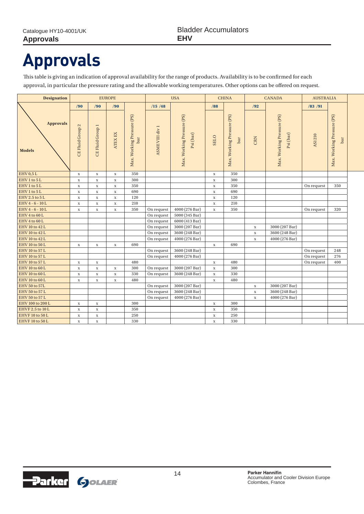# **Approvals**

This table is giving an indication of approval availability for the range of products. Availability is to be confirmed for each approval, in particular the pressure rating and the allowable working temperatures. Other options can be offered on request.

| <b>Designation</b>                | <b>EUROPE</b>    |                  |             | <b>USA</b>                        |                | <b>CHINA</b>                            |             | <b>CANADA</b>                     |             | <b>AUSTRALIA</b>                        |               |                                   |
|-----------------------------------|------------------|------------------|-------------|-----------------------------------|----------------|-----------------------------------------|-------------|-----------------------------------|-------------|-----------------------------------------|---------------|-----------------------------------|
|                                   | /90              | /90              | /90         |                                   | /15/48         |                                         | /88         |                                   | /92         |                                         | /83 / 91      |                                   |
| <b>Approvals</b><br><b>Models</b> | CE Fluid Group 2 | CE Fluid Group 1 | ATEX EX     | Max. Working Pressure (PS)<br>bar | ASMEVIII div 1 | Max. Working Pressure (PS)<br>Psi (bar) | <b>SELO</b> | Max. Working Pressure (PS)<br>bar | CRN         | Max. Working Pressure (PS)<br>Psi (bar) | <b>AS1210</b> | Max. Working Pressure (PS)<br>bar |
| EHV0,5L                           | $\mathbf X$      | $\mathbf X$      | $\mathbf X$ | 350                               |                |                                         | $\mathbf X$ | 350                               |             |                                         |               |                                   |
| EHV 1 to 5 L                      | $\mathbf X$      | $\mathbf X$      | $\mathbf X$ | 300                               |                |                                         | $\mathbf X$ | 300                               |             |                                         |               |                                   |
| EHV 1 to 5 L                      | $\mathbf X$      | $\mathbf X$      | $\mathbf X$ | 350                               |                |                                         | $\mathbf X$ | 350                               |             |                                         | On request    | 350                               |
| EHV 1 to 5 L                      | $\mathbf X$      | $\mathbf X$      | $\mathbf x$ | 690                               |                |                                         | $\mathbf X$ | 690                               |             |                                         |               |                                   |
| EHV 2.5 to 5L                     | $\mathbf X$      | $\mathbf X$      | $\mathbf X$ | 120                               |                |                                         | $\mathbf X$ | 120                               |             |                                         |               |                                   |
| EHV4-6-10L                        | $\mathbf X$      | $\mathbf X$      | $\mathbf X$ | 210                               |                |                                         | $\mathbf X$ | 210                               |             |                                         |               |                                   |
| EHV4-6-10L                        | $\mathbf X$      | $\mathbf x$      | $\mathbf X$ | 350                               | On request     | 4000 (276 Bar)                          | $\mathbf X$ | 350                               |             |                                         | On request    | 320                               |
| EHV 4 to 60 L                     |                  |                  |             |                                   | On request     | 5000 (345 Bar)                          |             |                                   |             |                                         |               |                                   |
| EHV 4 to 60 L                     |                  |                  |             |                                   | On request     | 6000 (413 Bar)                          |             |                                   |             |                                         |               |                                   |
| EHV 10 to 42 L                    |                  |                  |             |                                   | On request     | 3000 (207 Bar)                          |             |                                   | $\mathbf X$ | 3000 (207 Bar)                          |               |                                   |
| EHV 10 to 42 L                    |                  |                  |             |                                   | On request     | 3600 (248 Bar)                          |             |                                   | $\mathbf X$ | 3600 (248 Bar)                          |               |                                   |
| EHV 10 to 42 L                    |                  |                  |             |                                   | On request     | 4000 (276 Bar)                          |             |                                   | $\mathbf X$ | 4000 (276 Bar)                          |               |                                   |
| EHV 10 to 50 L                    | $\mathbf X$      | $\mathbf x$      | $\mathbf X$ | 690                               |                |                                         | $\mathbf X$ | 690                               |             |                                         |               |                                   |
| EHV 10 to 57 L                    |                  |                  |             |                                   | On request     | 3600 (248 Bar)                          |             |                                   |             |                                         | On request    | 248                               |
| EHV 10 to 57 L                    |                  |                  |             |                                   | On request     | 4000 (276 Bar)                          |             |                                   |             |                                         | On request    | 276                               |
| EHV 10 to 57 L                    | $\mathbf X$      | $\mathbf X$      |             | 480                               |                |                                         | $\mathbf X$ | 480                               |             |                                         | On request    | 400                               |
| EHV 10 to 60 L                    | $\mathbf X$      | $\mathbf X$      | $\mathbf X$ | 300                               | On request     | 3000 (207 Bar)                          | $\mathbf X$ | 300                               |             |                                         |               |                                   |
| EHV 10 to 60 L                    | $\mathbf X$      | $\mathbf X$      | $\mathbf x$ | 330                               | On request     | 3600 (248 Bar)                          | $\mathbf X$ | 330                               |             |                                         |               |                                   |
| EHV 10 to 60 L                    | $\mathbf X$      | $\mathbf X$      | $\mathbf X$ | 480                               |                |                                         | $\mathbf X$ | 480                               |             |                                         |               |                                   |
| EHV 50 to 57L                     |                  |                  |             |                                   | On request     | 3000 (207 Bar)                          |             |                                   | $\mathbf X$ | 3000 (207 Bar)                          |               |                                   |
| EHV 50 to 57 L                    |                  |                  |             |                                   | On request     | 3600 (248 Bar)                          |             |                                   | $\mathbf X$ | 3600 (248 Bar)                          |               |                                   |
| EHV 50 to 57 L                    |                  |                  |             |                                   | On request     | 4000 (276 Bar)                          |             |                                   | $\mathbf X$ | 4000 (276 Bar)                          |               |                                   |
| EHV 100 to 200 L                  | $\mathbf X$      | $\mathbf X$      |             | 300                               |                |                                         | $\mathbf X$ | 300                               |             |                                         |               |                                   |
| EHVF 2.5 to 10 L                  | $\mathbf X$      | $\mathbf X$      |             | 350                               |                |                                         | $\mathbf X$ | 350                               |             |                                         |               |                                   |
| EHVF 10 to 50 L                   | $\mathbf X$      | $\mathbf X$      |             | 250                               |                |                                         | $\mathbf X$ | 250                               |             |                                         |               |                                   |
| EHVF 10 to 50 L                   | $\mathbf X$      | $\mathbf X$      |             | 330                               |                |                                         | $\mathbf X$ | 330                               |             |                                         |               |                                   |

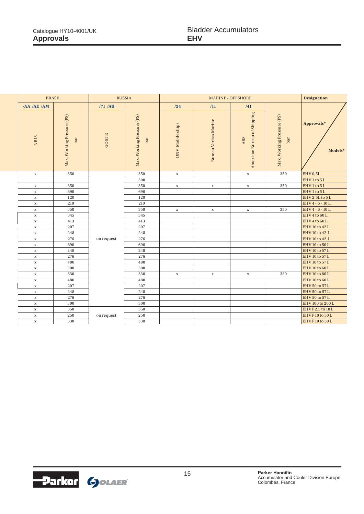| <b>BRASIL</b> |                                   | <b>RUSSIA</b> |                                   |                         | <b>Designation</b>           |                                    |                                   |                        |
|---------------|-----------------------------------|---------------|-----------------------------------|-------------------------|------------------------------|------------------------------------|-----------------------------------|------------------------|
| /AA /AE /AM   |                                   | /71 /AU       |                                   | /24                     | /11                          | /41                                |                                   |                        |
| NR13          | Max. Working Pressure (PS)<br>bar | <b>GOSTR</b>  | Max. Working Pressure (PS)<br>bar | <b>DNV</b> Mobile ships | <b>Bureau Veritas Marine</b> | American Bureau of Shipping<br>ABS | Max. Working Pressure (PS)<br>bar | Approvals*<br>Models*  |
| $\mathbf X$   | 350                               |               | 350                               | $\mathbf X$             |                              | $\mathbf X$                        | 350                               | EHV <sub>0,5L</sub>    |
|               |                                   |               | 300                               |                         |                              |                                    |                                   | $\text{EHV1}$ to $5$ L |
| $\mathbf X$   | 350                               |               | 350                               | $\mathbf X$             | $\mathbf X$                  | $\mathbf X$                        | 350                               | EHV1 to 5L             |
| $\mathbf X$   | 690                               |               | 690                               |                         |                              |                                    |                                   | EHV1 to 5L             |
| $\mathbf X$   | 120                               |               | 120                               |                         |                              |                                    |                                   | EHV 2.5L to 5L         |
| $\mathbf x$   | 210                               |               | 210                               |                         |                              |                                    |                                   | EHV4-6-10L             |
| $\mathbf X$   | 350                               |               | 350                               | $\mathbf X$             | $\mathbf X$                  | $\mathbf x$                        | 350                               | EHV4-6-10L             |
| $\mathbf X$   | 345                               |               | 345                               |                         |                              |                                    |                                   | EHV 4 to 60 L          |
| $\mathbf X$   | 413                               |               | 413                               |                         |                              |                                    |                                   | EHV 4 to 60 L          |
| $\mathbf x$   | 207                               |               | 207                               |                         |                              |                                    |                                   | EHV 10 to 42 L         |
| $\mathbf X$   | 248                               |               | 248                               |                         |                              |                                    |                                   | EHV 10 to 42 L         |
| $\mathbf X$   | 276                               |               | 276                               |                         |                              |                                    |                                   | EHV 10 to 42 L         |
| $\mathbf X$   | 690                               |               | 690                               |                         |                              |                                    |                                   | EHV 10 to 50 L         |
| $\mathbf X$   | 248                               |               | 248                               |                         |                              |                                    |                                   | EHV 10 to 57 L         |
| $\mathbf x$   | 276                               |               | 276                               |                         |                              |                                    |                                   | EHV 10 to 57 L         |
| $\mathbf x$   | 480                               |               | 480                               |                         |                              |                                    |                                   | EHV 10 to 57 L         |
| $\mathbf X$   | 300                               |               | 300                               |                         |                              |                                    |                                   | EHV 10 to 60 L         |
| $\mathbf X$   | 330                               |               | 330                               | $\mathbf X$             | $\mathbf x$                  | $\mathbf X$                        | 330                               | EHV 10 to 60 L         |
| $\mathbf X$   | 480<br>207<br>$\mathbf X$         |               | 480                               |                         |                              |                                    |                                   | EHV 10 to 60 L         |
|               |                                   |               | 207                               |                         |                              |                                    |                                   | EHV 50 to 57L          |
| $\mathbf X$   | 248                               |               | 248                               |                         |                              |                                    |                                   | EHV 50 to 57 L         |
| $\mathbf X$   | 276                               |               | 276                               |                         |                              |                                    |                                   | EHV 50 to 57 L         |
| $\mathbf x$   | 300                               |               | 300                               |                         |                              |                                    |                                   | EHV 100 to 200 L       |
| $\mathbf X$   | 350                               |               | 350                               |                         |                              |                                    |                                   | EHVF 2.5 to 10 L       |
| $\mathbf X$   | 250                               | on request    | 250                               |                         |                              |                                    |                                   | EHVF 10 to 50 L        |
| $\mathbf x$   | 330                               |               | 330                               |                         |                              |                                    |                                   | EHVF 10 to 50 L        |